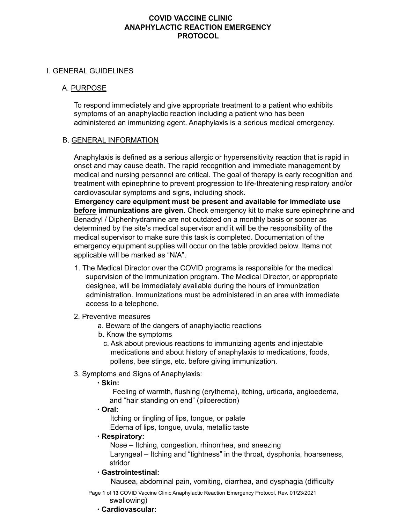# **COVID VACCINE CLINIC ANAPHYLACTIC REACTION EMERGENCY PROTOCOL**

## I. GENERAL GUIDELINES

## A. PURPOSE

To respond immediately and give appropriate treatment to a patient who exhibits symptoms of an anaphylactic reaction including a patient who has been administered an immunizing agent. Anaphylaxis is a serious medical emergency.

## B. GENERAL INFORMATION

Anaphylaxis is defined as a serious allergic or hypersensitivity reaction that is rapid in onset and may cause death. The rapid recognition and immediate management by medical and nursing personnel are critical. The goal of therapy is early recognition and treatment with epinephrine to prevent progression to life-threatening respiratory and/or cardiovascular symptoms and signs, including shock.

**Emergency care equipment must be present and available for immediate use before immunizations are given.** Check emergency kit to make sure epinephrine and Benadryl / Diphenhydramine are not outdated on a monthly basis or sooner as determined by the site's medical supervisor and it will be the responsibility of the medical supervisor to make sure this task is completed. Documentation of the emergency equipment supplies will occur on the table provided below. Items not applicable will be marked as "N/A".

- 1. The Medical Director over the COVID programs is responsible for the medical supervision of the immunization program. The Medical Director, or appropriate designee, will be immediately available during the hours of immunization administration. Immunizations must be administered in an area with immediate access to a telephone.
- 2. Preventive measures
	- a. Beware of the dangers of anaphylactic reactions
	- b. Know the symptoms
		- c. Ask about previous reactions to immunizing agents and injectable medications and about history of anaphylaxis to medications, foods, pollens, bee stings, etc. before giving immunization.
- 3. Symptoms and Signs of Anaphylaxis:
	- ∙ **Skin:**

Feeling of warmth, flushing (erythema), itching, urticaria, angioedema, and "hair standing on end" (piloerection)

∙ **Oral:**

Itching or tingling of lips, tongue, or palate Edema of lips, tongue, uvula, metallic taste

∙ **Respiratory:**

Nose – Itching, congestion, rhinorrhea, and sneezing Laryngeal – Itching and "tightness" in the throat, dysphonia, hoarseness, stridor

## ∙ **Gastrointestinal:**

Nausea, abdominal pain, vomiting, diarrhea, and dysphagia (difficulty

Page **1** of **13** COVID Vaccine Clinic Anaphylactic Reaction Emergency Protocol, Rev. 01/23/2021 swallowing)

# ∙ **Cardiovascular:**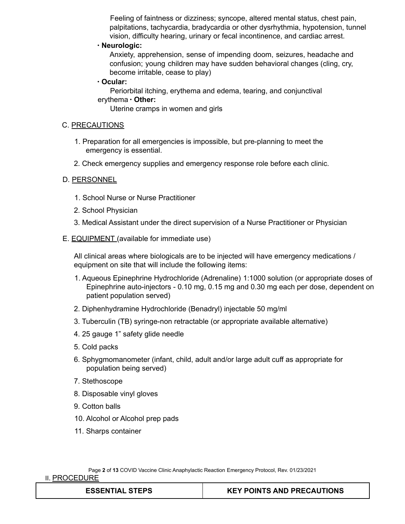Feeling of faintness or dizziness; syncope, altered mental status, chest pain, palpitations, tachycardia, bradycardia or other dysrhythmia, hypotension, tunnel vision, difficulty hearing, urinary or fecal incontinence, and cardiac arrest.

# ∙ **Neurologic:**

Anxiety, apprehension, sense of impending doom, seizures, headache and confusion; young children may have sudden behavioral changes (cling, cry, become irritable, cease to play)

# ∙ **Ocular:**

Periorbital itching, erythema and edema, tearing, and conjunctival erythema ∙ **Other:**

Uterine cramps in women and girls

# C. PRECAUTIONS

- 1. Preparation for all emergencies is impossible, but pre-planning to meet the emergency is essential.
- 2. Check emergency supplies and emergency response role before each clinic.

# D. PERSONNEL

- 1. School Nurse or Nurse Practitioner
- 2. School Physician
- 3. Medical Assistant under the direct supervision of a Nurse Practitioner or Physician
- E. EQUIPMENT (available for immediate use)

All clinical areas where biologicals are to be injected will have emergency medications / equipment on site that will include the following items:

- 1. Aqueous Epinephrine Hydrochloride (Adrenaline) 1:1000 solution (or appropriate doses of Epinephrine auto-injectors - 0.10 mg, 0.15 mg and 0.30 mg each per dose, dependent on patient population served)
- 2. Diphenhydramine Hydrochloride (Benadryl) injectable 50 mg/ml
- 3. Tuberculin (TB) syringe-non retractable (or appropriate available alternative)
- 4. 25 gauge 1" safety glide needle
- 5. Cold packs
- 6. Sphygmomanometer (infant, child, adult and/or large adult cuff as appropriate for population being served)
- 7. Stethoscope
- 8. Disposable vinyl gloves
- 9. Cotton balls
- 10. Alcohol or Alcohol prep pads
- 11. Sharps container

Page **2** of **13** COVID Vaccine Clinic Anaphylactic Reaction Emergency Protocol, Rev. 01/23/2021

II. PROCEDURE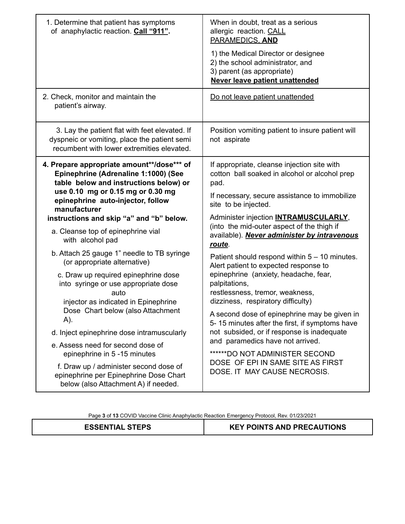| 1. Determine that patient has symptoms<br>of anaphylactic reaction. Call "911".                                                                                                                                                                                    | When in doubt, treat as a serious<br>allergic reaction. CALL<br>PARAMEDICS, AND<br>1) the Medical Director or designee<br>2) the school administrator, and<br>3) parent (as appropriate)<br><b>Never leave patient unattended</b> |  |  |  |  |
|--------------------------------------------------------------------------------------------------------------------------------------------------------------------------------------------------------------------------------------------------------------------|-----------------------------------------------------------------------------------------------------------------------------------------------------------------------------------------------------------------------------------|--|--|--|--|
| 2. Check, monitor and maintain the<br>patient's airway.                                                                                                                                                                                                            | Do not leave patient unattended                                                                                                                                                                                                   |  |  |  |  |
| 3. Lay the patient flat with feet elevated. If<br>dyspneic or vomiting, place the patient semi<br>recumbent with lower extremities elevated.                                                                                                                       | Position vomiting patient to insure patient will<br>not aspirate                                                                                                                                                                  |  |  |  |  |
| 4. Prepare appropriate amount**/dose*** of<br>Epinephrine (Adrenaline 1:1000) (See<br>table below and instructions below) or<br>use 0.10 mg or 0.15 mg or 0.30 mg<br>epinephrine auto-injector, follow<br>manufacturer<br>instructions and skip "a" and "b" below. | If appropriate, cleanse injection site with<br>cotton ball soaked in alcohol or alcohol prep<br>pad.<br>If necessary, secure assistance to immobilize<br>site to be injected.<br>Administer injection <b>INTRAMUSCULARLY</b> ,    |  |  |  |  |
| a. Cleanse top of epinephrine vial<br>with alcohol pad                                                                                                                                                                                                             | (into the mid-outer aspect of the thigh if<br>available). Never administer by intravenous<br>route.                                                                                                                               |  |  |  |  |
| b. Attach 25 gauge 1" needle to TB syringe<br>(or appropriate alternative)                                                                                                                                                                                         | Patient should respond within 5 - 10 minutes.<br>Alert patient to expected response to                                                                                                                                            |  |  |  |  |
| c. Draw up required epinephrine dose<br>into syringe or use appropriate dose<br>auto<br>injector as indicated in Epinephrine<br>Dose Chart below (also Attachment<br>A).                                                                                           | epinephrine (anxiety, headache, fear,<br>palpitations,<br>restlessness, tremor, weakness,<br>dizziness, respiratory difficulty)<br>A second dose of epinephrine may be given in<br>5-15 minutes after the first, if symptoms have |  |  |  |  |
| d. Inject epinephrine dose intramuscularly                                                                                                                                                                                                                         | not subsided, or if response is inadequate<br>and paramedics have not arrived.                                                                                                                                                    |  |  |  |  |
| e. Assess need for second dose of<br>epinephrine in 5-15 minutes                                                                                                                                                                                                   | ******DO NOT ADMINISTER SECOND                                                                                                                                                                                                    |  |  |  |  |
| f. Draw up / administer second dose of<br>epinephrine per Epinephrine Dose Chart<br>below (also Attachment A) if needed.                                                                                                                                           | DOSE OF EPI IN SAME SITE AS FIRST<br>DOSE. IT MAY CAUSE NECROSIS.                                                                                                                                                                 |  |  |  |  |

Page **3** of **13** COVID Vaccine Clinic Anaphylactic Reaction Emergency Protocol, Rev. 01/23/2021

| <b>ESSENTIAL STEPS</b> | <b>KEY POINTS AND PRECAUTIONS</b> |
|------------------------|-----------------------------------|
|------------------------|-----------------------------------|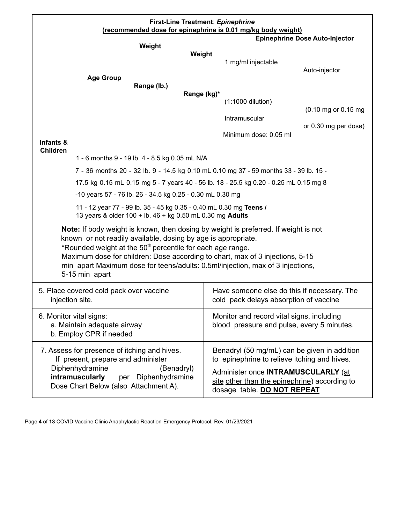| First-Line Treatment: Epinephrine                                                                                                                                                                                                                                                                                                                                                                                          |                                                                                                                            |
|----------------------------------------------------------------------------------------------------------------------------------------------------------------------------------------------------------------------------------------------------------------------------------------------------------------------------------------------------------------------------------------------------------------------------|----------------------------------------------------------------------------------------------------------------------------|
| (recommended dose for epinephrine is 0.01 mg/kg body weight)                                                                                                                                                                                                                                                                                                                                                               | <b>Epinephrine Dose Auto-Injector</b>                                                                                      |
| Weight                                                                                                                                                                                                                                                                                                                                                                                                                     |                                                                                                                            |
| Weight                                                                                                                                                                                                                                                                                                                                                                                                                     |                                                                                                                            |
|                                                                                                                                                                                                                                                                                                                                                                                                                            | 1 mg/ml injectable                                                                                                         |
| <b>Age Group</b>                                                                                                                                                                                                                                                                                                                                                                                                           | Auto-injector                                                                                                              |
| Range (lb.)                                                                                                                                                                                                                                                                                                                                                                                                                |                                                                                                                            |
| Range (kg)*                                                                                                                                                                                                                                                                                                                                                                                                                |                                                                                                                            |
|                                                                                                                                                                                                                                                                                                                                                                                                                            | (1:1000 dilution)<br>(0.10 mg or 0.15 mg                                                                                   |
|                                                                                                                                                                                                                                                                                                                                                                                                                            | Intramuscular                                                                                                              |
|                                                                                                                                                                                                                                                                                                                                                                                                                            | or 0.30 mg per dose)                                                                                                       |
|                                                                                                                                                                                                                                                                                                                                                                                                                            | Minimum dose: 0.05 ml                                                                                                      |
| Infants &<br><b>Children</b>                                                                                                                                                                                                                                                                                                                                                                                               |                                                                                                                            |
| 1 - 6 months 9 - 19 lb. 4 - 8.5 kg 0.05 mL N/A                                                                                                                                                                                                                                                                                                                                                                             |                                                                                                                            |
| 7 - 36 months 20 - 32 lb. 9 - 14.5 kg 0.10 mL 0.10 mg 37 - 59 months 33 - 39 lb. 15 -                                                                                                                                                                                                                                                                                                                                      |                                                                                                                            |
| 17.5 kg 0.15 mL 0.15 mg 5 - 7 years 40 - 56 lb. 18 - 25.5 kg 0.20 - 0.25 mL 0.15 mg 8                                                                                                                                                                                                                                                                                                                                      |                                                                                                                            |
| -10 years 57 - 76 lb. 26 - 34.5 kg 0.25 - 0.30 mL 0.30 mg                                                                                                                                                                                                                                                                                                                                                                  |                                                                                                                            |
| 11 - 12 year 77 - 99 lb. 35 - 45 kg 0.35 - 0.40 mL 0.30 mg Teens /<br>13 years & older 100 + lb. 46 + kg 0.50 mL 0.30 mg Adults                                                                                                                                                                                                                                                                                            |                                                                                                                            |
| <b>Note:</b> If body weight is known, then dosing by weight is preferred. If weight is not<br>known or not readily available, dosing by age is appropriate.<br>*Rounded weight at the 50 <sup>th</sup> percentile for each age range.<br>Maximum dose for children: Dose according to chart, max of 3 injections, 5-15<br>min apart Maximum dose for teens/adults: 0.5ml/injection, max of 3 injections,<br>5-15 min apart |                                                                                                                            |
| 5. Place covered cold pack over vaccine<br>injection site.                                                                                                                                                                                                                                                                                                                                                                 | Have someone else do this if necessary. The<br>cold pack delays absorption of vaccine                                      |
| 6. Monitor vital signs:<br>a. Maintain adequate airway<br>b. Employ CPR if needed                                                                                                                                                                                                                                                                                                                                          | Monitor and record vital signs, including<br>blood pressure and pulse, every 5 minutes.                                    |
| 7. Assess for presence of itching and hives.<br>If present, prepare and administer                                                                                                                                                                                                                                                                                                                                         | Benadryl (50 mg/mL) can be given in addition<br>to epinephrine to relieve itching and hives.                               |
| Diphenhydramine<br>(Benadryl)<br>intramuscularly<br>per Diphenhydramine<br>Dose Chart Below (also Attachment A).                                                                                                                                                                                                                                                                                                           | Administer once <b>INTRAMUSCULARLY</b> (at<br>site other than the epinephrine) according to<br>dosage table. DO NOT REPEAT |

Page **4** of **13** COVID Vaccine Clinic Anaphylactic Reaction Emergency Protocol, Rev. 01/23/2021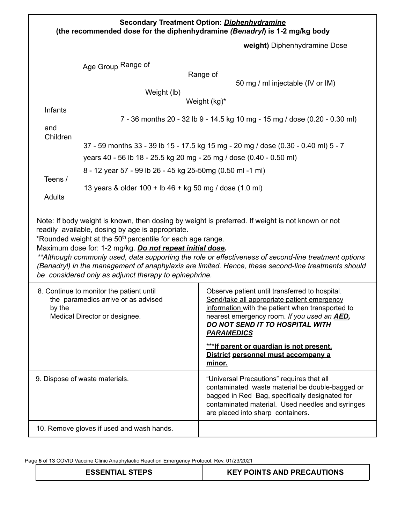| <b>Secondary Treatment Option: Diphenhydramine</b><br>(the recommended dose for the diphenhydramine (Benadryl) is 1-2 mg/kg body                                                                                                                                                                                                                                                                                                                                                                                                                                                                                                                                                                                                                          |                                           |                                                                                                                                                                                                                                         |  |  |  |  |
|-----------------------------------------------------------------------------------------------------------------------------------------------------------------------------------------------------------------------------------------------------------------------------------------------------------------------------------------------------------------------------------------------------------------------------------------------------------------------------------------------------------------------------------------------------------------------------------------------------------------------------------------------------------------------------------------------------------------------------------------------------------|-------------------------------------------|-----------------------------------------------------------------------------------------------------------------------------------------------------------------------------------------------------------------------------------------|--|--|--|--|
|                                                                                                                                                                                                                                                                                                                                                                                                                                                                                                                                                                                                                                                                                                                                                           |                                           | weight) Diphenhydramine Dose                                                                                                                                                                                                            |  |  |  |  |
| Age Group Range of<br>Range of<br>50 mg / ml injectable (IV or IM)<br>Weight (lb)<br>Weight (kg)*<br>Infants<br>7 - 36 months 20 - 32 lb 9 - 14.5 kg 10 mg - 15 mg / dose (0.20 - 0.30 ml)<br>and<br>Children<br>37 - 59 months 33 - 39 lb 15 - 17.5 kg 15 mg - 20 mg / dose (0.30 - 0.40 ml) 5 - 7<br>years 40 - 56 lb 18 - 25.5 kg 20 mg - 25 mg / dose (0.40 - 0.50 ml)<br>8 - 12 year 57 - 99 lb 26 - 45 kg 25-50mg (0.50 ml -1 ml)<br>Teens /<br>13 years & older 100 + lb 46 + kg 50 mg / dose (1.0 ml)<br>Adults<br>Note: If body weight is known, then dosing by weight is preferred. If weight is not known or not<br>readily available, dosing by age is appropriate.<br>*Rounded weight at the 50 <sup>th</sup> percentile for each age range. |                                           |                                                                                                                                                                                                                                         |  |  |  |  |
| Maximum dose for: 1-2 mg/kg. Do not repeat initial dose.<br>**Although commonly used, data supporting the role or effectiveness of second-line treatment options<br>(Benadryl) in the management of anaphylaxis are limited. Hence, these second-line treatments should<br>be considered only as adjunct therapy to epinephrine.                                                                                                                                                                                                                                                                                                                                                                                                                          |                                           |                                                                                                                                                                                                                                         |  |  |  |  |
| 8. Continue to monitor the patient until<br>Observe patient until transferred to hospital.<br>the paramedics arrive or as advised<br>Send/take all appropriate patient emergency<br>information with the patient when transported to<br>by the<br>nearest emergency room. If you used an AED,<br>Medical Director or designee.<br>DO NOT SEND IT TO HOSPITAL WITH<br><b>PARAMEDICS</b>                                                                                                                                                                                                                                                                                                                                                                    |                                           |                                                                                                                                                                                                                                         |  |  |  |  |
|                                                                                                                                                                                                                                                                                                                                                                                                                                                                                                                                                                                                                                                                                                                                                           |                                           | *** If parent or guardian is not present,<br>District personnel must accompany a<br>minor.                                                                                                                                              |  |  |  |  |
|                                                                                                                                                                                                                                                                                                                                                                                                                                                                                                                                                                                                                                                                                                                                                           | 9. Dispose of waste materials.            | "Universal Precautions" requires that all<br>contaminated waste material be double-bagged or<br>bagged in Red Bag, specifically designated for<br>contaminated material. Used needles and syringes<br>are placed into sharp containers. |  |  |  |  |
|                                                                                                                                                                                                                                                                                                                                                                                                                                                                                                                                                                                                                                                                                                                                                           | 10. Remove gloves if used and wash hands. |                                                                                                                                                                                                                                         |  |  |  |  |

Page **5** of **13** COVID Vaccine Clinic Anaphylactic Reaction Emergency Protocol, Rev. 01/23/2021

| <b>ESSENTIAL STEPS</b> | <b>KEY POINTS AND PRECAUTIONS</b> |
|------------------------|-----------------------------------|
|------------------------|-----------------------------------|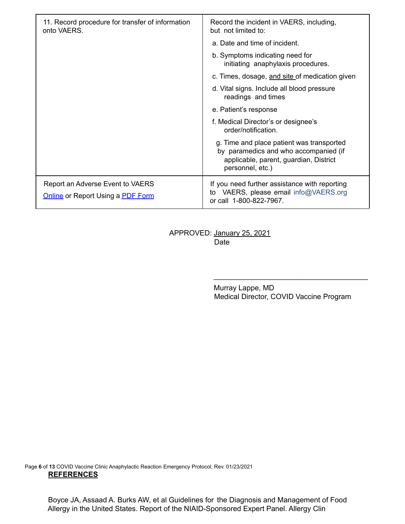| 11. Record procedure for transfer of information<br>onto VAERS.                     | Record the incident in VAERS, including,<br>but not limited to:                                                                                  |  |  |  |  |
|-------------------------------------------------------------------------------------|--------------------------------------------------------------------------------------------------------------------------------------------------|--|--|--|--|
|                                                                                     | a. Date and time of incident.                                                                                                                    |  |  |  |  |
|                                                                                     | b. Symptoms indicating need for<br>initiating anaphylaxis procedures.                                                                            |  |  |  |  |
|                                                                                     | c. Times, dosage, and site of medication given                                                                                                   |  |  |  |  |
|                                                                                     | d. Vital signs. Include all blood pressure<br>readings and times                                                                                 |  |  |  |  |
|                                                                                     | e. Patient's response                                                                                                                            |  |  |  |  |
|                                                                                     | f. Medical Director's or designee's<br>order/notification.                                                                                       |  |  |  |  |
|                                                                                     | g. Time and place patient was transported<br>by paramedics and who accompanied (if<br>applicable, parent, guardian, District<br>personnel, etc.) |  |  |  |  |
| Report an Adverse Event to VAERS<br><b>Online</b> or Report Using a <b>PDF</b> Form | If you need further assistance with reporting<br>VAERS, please email info@VAERS.org<br>to<br>or call 1-800-822-7967.                             |  |  |  |  |

## APPROVED: January 25, 2021 Date

Murray Lappe, MD Medical Director, COVID Vaccine Program

\_\_\_\_\_\_\_\_\_\_\_\_\_\_\_\_\_\_\_\_\_\_\_\_\_\_\_\_\_\_\_\_\_\_\_\_\_\_

Page **6** of **13** COVID Vaccine Clinic Anaphylactic Reaction Emergency Protocol, Rev. 01/23/2021 **REFERENCES**

Boyce JA, Assaad A. Burks AW, et al Guidelines for the Diagnosis and Management of Food Allergy in the United States. Report of the NIAID-Sponsored Expert Panel. Allergy Clin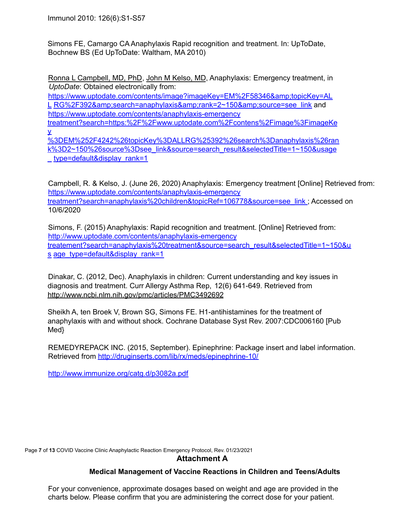Immunol 2010: 126(6):S1-S57

Simons FE, Camargo CA Anaphylaxis Rapid recognition and treatment. In: UpToDate, Bochnew BS (Ed UpToDate: Waltham, MA 2010)

Ronna L Campbell, MD, PhD, John M Kelso, MD, Anaphylaxis: Emergency treatment, in *UptoDate*: Obtained electronically from:

https://www.uptodate.com/contents/image?imageKey=EM%2F58346&topicKey=AL L RG%2F392&search=anaphylaxis&rank=2~150&source=see\_link and https://www.uptodate.com/contents/anaphylaxis-emergency

treatment?search=https:%2F%2Fwww.uptodate.com%2Fcontens%2Fimage%3FimageKe  $\overline{\mathbf{Y}}$ 

%3DEM%252F4242%26topicKey%3DALLRG%25392%26search%3Danaphylaxis%26ran k%3D2~150%26source%3Dsee\_link&source=search\_result&selectedTitle=1~150&usage type=default&display\_rank=1

Campbell, R. & Kelso, J. (June 26, 2020) Anaphylaxis: Emergency treatment [Online] Retrieved from: https://www.uptodate.com/contents/anaphylaxis-emergency treatment?search=anaphylaxis%20children&topicRef=106778&source=see\_link ; Accessed on 10/6/2020

Simons, F. (2015) Anaphylaxis: Rapid recognition and treatment. [Online] Retrieved from: http://www.uptodate.com/contents/anaphylaxis-emergency treatement?search=anaphylaxis%20treatment&source=search\_result&selectedTitle=1~150&u s age\_type=default&display\_rank=1

Dinakar, C. (2012, Dec). Anaphylaxis in children: Current understanding and key issues in diagnosis and treatment. Curr Allergy Asthma Rep, 12(6) 641-649. Retrieved from http://www.ncbi.nlm.nih.gov/pmc/articles/PMC3492692

Sheikh A, ten Broek V, Brown SG, Simons FE. H1-antihistamines for the treatment of anaphylaxis with and without shock. Cochrane Database Syst Rev. 2007:CDC006160 [Pub Med}

REMEDYREPACK INC. (2015, September). Epinephrine: Package insert and label information. Retrieved from http://druginserts.com/lib/rx/meds/epinephrine-10/

http://www.immunize.org/catg.d/p3082a.pdf

Page **7** of **13** COVID Vaccine Clinic Anaphylactic Reaction Emergency Protocol, Rev. 01/23/2021

# **Attachment A**

# **Medical Management of Vaccine Reactions in Children and Teens/Adults**

For your convenience, approximate dosages based on weight and age are provided in the charts below. Please confirm that you are administering the correct dose for your patient.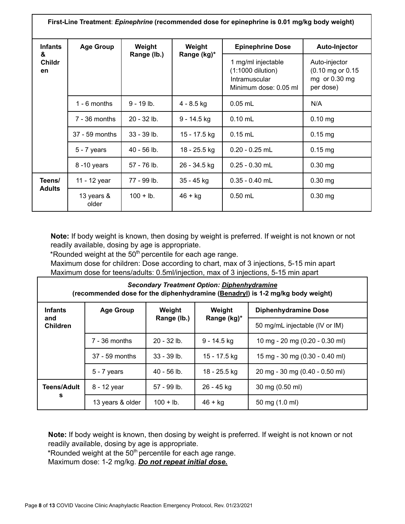|                           | First-Line Treatment: Epinephrine (recommended dose for epinephrine is 0.01 mg/kg body weight) |                            |               |                                                                                          |                                                                  |  |  |  |  |
|---------------------------|------------------------------------------------------------------------------------------------|----------------------------|---------------|------------------------------------------------------------------------------------------|------------------------------------------------------------------|--|--|--|--|
| <b>Infants</b>            | <b>Age Group</b>                                                                               | Weight                     | Weight        | <b>Epinephrine Dose</b>                                                                  | Auto-Injector                                                    |  |  |  |  |
| &<br><b>Childr</b><br>en. |                                                                                                | Range (lb.)<br>Range (kg)* |               | 1 mg/ml injectable<br>(1:1000 dilution)<br><b>Intramuscular</b><br>Minimum dose: 0.05 ml | Auto-injector<br>(0.10 mg or 0.15)<br>mg or 0.30 mg<br>per dose) |  |  |  |  |
|                           | $1 - 6$ months                                                                                 | $9 - 19$ lb.               | $4 - 8.5$ kg  | $0.05$ mL                                                                                | N/A                                                              |  |  |  |  |
|                           | $7 - 36$ months                                                                                | $20 - 32$ lb.              | $9 - 14.5$ kg | $0.10$ mL                                                                                | $0.10$ mg                                                        |  |  |  |  |
|                           | $37 - 59$ months                                                                               | $33 - 39$ lb.              | 15 - 17.5 kg  | $0.15$ mL                                                                                | $0.15$ mg                                                        |  |  |  |  |
|                           | $5 - 7$ years                                                                                  | $40 - 56$ lb.              | 18 - 25.5 kg  | $0.20 - 0.25$ mL                                                                         | $0.15$ mg                                                        |  |  |  |  |
|                           | 8 - 10 years                                                                                   | 57 - 76 lb.                | 26 - 34.5 kg  | $0.25 - 0.30$ mL                                                                         | $0.30$ mg                                                        |  |  |  |  |
| Teens/<br><b>Adults</b>   | 11 - 12 year                                                                                   | 77 - 99 lb.                | 35 - 45 kg    | $0.35 - 0.40$ mL                                                                         | $0.30$ mg                                                        |  |  |  |  |
|                           | 13 years &<br>older                                                                            | $100 + lb.$                | $46 + kg$     | $0.50$ mL                                                                                | $0.30$ mg                                                        |  |  |  |  |

**Note:** If body weight is known, then dosing by weight is preferred. If weight is not known or not readily available, dosing by age is appropriate.

\*Rounded weight at the  $50<sup>th</sup>$  percentile for each age range.

Maximum dose for children: Dose according to chart, max of 3 injections, 5-15 min apart Maximum dose for teens/adults: 0.5ml/injection, max of 3 injections, 5-15 min apart

| <b>Secondary Treatment Option: Diphenhydramine</b><br>(recommended dose for the diphenhydramine (Benadryl) is 1-2 mg/kg body weight) |                  |                               |              |                                |  |  |  |  |
|--------------------------------------------------------------------------------------------------------------------------------------|------------------|-------------------------------|--------------|--------------------------------|--|--|--|--|
| <b>Infants</b><br>and                                                                                                                | <b>Age Group</b> | Weight                        | Weight       | <b>Diphenhydramine Dose</b>    |  |  |  |  |
| <b>Children</b>                                                                                                                      |                  | Range (kg)*<br>Range (lb.)    |              | 50 mg/mL injectable (IV or IM) |  |  |  |  |
|                                                                                                                                      | 7 - 36 months    | $20 - 32$ lb.                 | 9 - 14.5 kg  | 10 mg - 20 mg (0.20 - 0.30 ml) |  |  |  |  |
|                                                                                                                                      | 37 - 59 months   | $33 - 39$ lb.<br>15 - 17.5 kg |              | 15 mg - 30 mg (0.30 - 0.40 ml) |  |  |  |  |
|                                                                                                                                      | $5 - 7$ years    | $40 - 56$ lb.                 | 18 - 25.5 kg | 20 mg - 30 mg (0.40 - 0.50 ml) |  |  |  |  |
| <b>Teens/Adult</b>                                                                                                                   | 8 - 12 year      | 57 - 99 lb.                   | 26 - 45 kg   | 30 mg (0.50 ml)                |  |  |  |  |
| s                                                                                                                                    | 13 years & older | $100 + lb.$                   | $46 + kg$    | 50 mg (1.0 ml)                 |  |  |  |  |

**Note:** If body weight is known, then dosing by weight is preferred. If weight is not known or not readily available, dosing by age is appropriate.

\*Rounded weight at the  $50<sup>th</sup>$  percentile for each age range.

Maximum dose: 1-2 mg/kg. *Do not repeat initial dose.*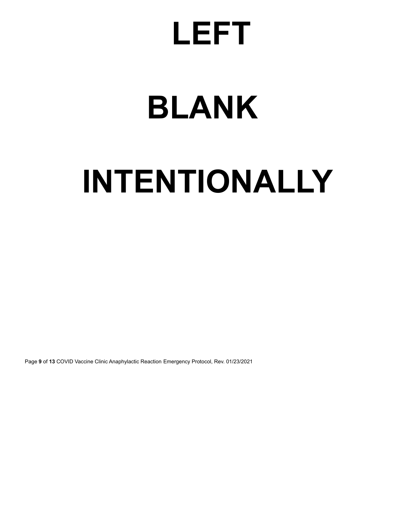# **LEFT**

# **BLANK**

# **INTENTIONALLY**

Page **9** of **13** COVID Vaccine Clinic Anaphylactic Reaction Emergency Protocol, Rev. 01/23/2021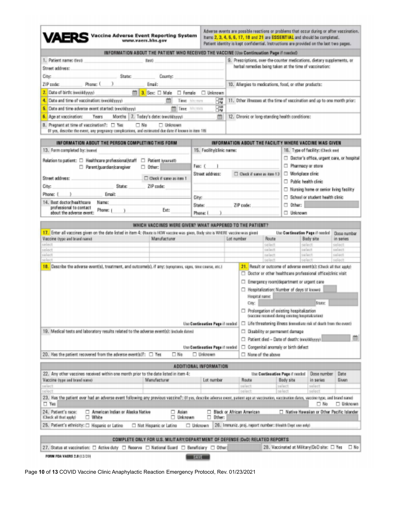|                                         | Vaccine Adverse Event Reporting System                                                                                                                                                       | www.vaers.hhs.gov                                                                        |                                                                                                       |                                                         | Adverse events are possible reactions or problems that occur during or after vaccination. |                                                    | items 2, 3, 4, 5, 6, 17, 18 and 21 are ESSENTIAL and should be completed.<br>Patient identity is kept confidential. Instructions are provided on the last two pages. |                  |
|-----------------------------------------|----------------------------------------------------------------------------------------------------------------------------------------------------------------------------------------------|------------------------------------------------------------------------------------------|-------------------------------------------------------------------------------------------------------|---------------------------------------------------------|-------------------------------------------------------------------------------------------|----------------------------------------------------|----------------------------------------------------------------------------------------------------------------------------------------------------------------------|------------------|
|                                         |                                                                                                                                                                                              | INFORMATION ABOUT THE PATIENT WHO RECEIVED THE VACCINE (Use Continuation Page if needed) |                                                                                                       |                                                         |                                                                                           |                                                    |                                                                                                                                                                      |                  |
| 1. Patient name: thrst)                 |                                                                                                                                                                                              | (last)                                                                                   |                                                                                                       |                                                         |                                                                                           |                                                    | 9. Prescriptions, over-the-counter medications, dietary supplements, or                                                                                              |                  |
| Street address:                         |                                                                                                                                                                                              |                                                                                          |                                                                                                       | herbal remedies being taken at the time of vaccination: |                                                                                           |                                                    |                                                                                                                                                                      |                  |
| City:                                   | State:                                                                                                                                                                                       | County:                                                                                  |                                                                                                       |                                                         |                                                                                           |                                                    |                                                                                                                                                                      |                  |
| ZIP pode:                               | Phone: (                                                                                                                                                                                     | Email:                                                                                   |                                                                                                       |                                                         | 10. Allergies to medications, food, or other products:                                    |                                                    |                                                                                                                                                                      |                  |
| 2. Date of birth: Inmiddiwyyl           |                                                                                                                                                                                              | fft 3. Sex: □ Male                                                                       | Female Divisionary                                                                                    |                                                         |                                                                                           |                                                    |                                                                                                                                                                      |                  |
|                                         | 4. Date and time of vaccination: (mn(dd/yyyy)                                                                                                                                                | 曲<br>Time                                                                                | 嘂<br>hhomm                                                                                            |                                                         |                                                                                           |                                                    | 11. Other illnesses at the time of vaccination and up to one month prior:                                                                                            |                  |
|                                         | 5. Date and time adverse event started: (mm/dd/yyyy)                                                                                                                                         | MillTime                                                                                 | 嘂<br>Microm                                                                                           |                                                         |                                                                                           |                                                    |                                                                                                                                                                      |                  |
| 6. Age at vaccination:                  | Tears<br>Months                                                                                                                                                                              | 7. Today's date: (mm/dd/www)                                                             | 曲                                                                                                     |                                                         | 12. Chronic or long-standing health conditions:                                           |                                                    |                                                                                                                                                                      |                  |
|                                         | B. Pregnant at time of vaccination?: $\square$ Yes<br>(If yes, describe the event, any pregnancy complications, and estimated due date if known in item 18)                                  | $\Box$ No<br>Unknown                                                                     |                                                                                                       |                                                         |                                                                                           |                                                    |                                                                                                                                                                      |                  |
|                                         | INFORMATION ABOUT THE PERSON COMPLETING THIS FORM                                                                                                                                            |                                                                                          |                                                                                                       |                                                         |                                                                                           |                                                    | INFORMATION ABOUT THE FACILITY WHERE VACCINE WAS CIVEN                                                                                                               |                  |
| 13. Farm completed by: Insmet           |                                                                                                                                                                                              |                                                                                          | 15. Facility/clinic name:                                                                             |                                                         |                                                                                           |                                                    | 16. Type of facility: (Check and                                                                                                                                     |                  |
|                                         | Relation to patient: □ Healthcare professional/staff □ Patient lyoursell)                                                                                                                    |                                                                                          |                                                                                                       |                                                         |                                                                                           |                                                    | Doctor's office, urgent care, or hospital                                                                                                                            |                  |
|                                         | Parent/guardianicaregiver                                                                                                                                                                    | $\Box$ Other:                                                                            | Fax: (                                                                                                |                                                         |                                                                                           |                                                    | Pharmacy or store                                                                                                                                                    |                  |
| Street address:                         |                                                                                                                                                                                              | □ Check if same as item 1                                                                | Street address:                                                                                       |                                                         | $\Box$ Check if some as item 13                                                           |                                                    | Workglace clinic                                                                                                                                                     |                  |
| City:                                   | State:                                                                                                                                                                                       | ZIP code:                                                                                |                                                                                                       |                                                         |                                                                                           |                                                    | Public health clinic                                                                                                                                                 |                  |
| Phone: (                                | Email:                                                                                                                                                                                       |                                                                                          |                                                                                                       |                                                         |                                                                                           |                                                    | Nursing home or senior living facility                                                                                                                               |                  |
| 14. Best dector healthcare              | Name:                                                                                                                                                                                        |                                                                                          | City:                                                                                                 |                                                         |                                                                                           | □                                                  | School or student health clinic                                                                                                                                      |                  |
| professional to contact                 | Phone: (                                                                                                                                                                                     | Ext:                                                                                     | <b>State:</b>                                                                                         |                                                         | ZIP code:                                                                                 | Other:<br>□                                        |                                                                                                                                                                      |                  |
| about the adverse event:                |                                                                                                                                                                                              |                                                                                          | Phone: I                                                                                              |                                                         |                                                                                           | Unknown                                            |                                                                                                                                                                      |                  |
|                                         |                                                                                                                                                                                              | WHICH VACCINES WERE GIVEN? WHAT HAPPENED TO THE PATIENT?                                 |                                                                                                       |                                                         |                                                                                           |                                                    |                                                                                                                                                                      |                  |
|                                         | 17. Enter all vaccines given on the date listed in item 4: (Route is HOW vaccine was given, Body site is WHERE vaccine was given)                                                            |                                                                                          |                                                                                                       |                                                         |                                                                                           |                                                    | Use Continuation Page if needed                                                                                                                                      | Dose number      |
| Vaccine (type and brand name)<br>select |                                                                                                                                                                                              | Manufacturer                                                                             |                                                                                                       | Lot number                                              | Route                                                                                     |                                                    | Body site                                                                                                                                                            | in series        |
| select                                  |                                                                                                                                                                                              |                                                                                          |                                                                                                       |                                                         | select<br>salact                                                                          |                                                    | se le ct<br>salact                                                                                                                                                   | select<br>select |
| select<br>select                        |                                                                                                                                                                                              |                                                                                          |                                                                                                       |                                                         | <b>salect</b><br>select                                                                   |                                                    | select<br>select                                                                                                                                                     | select<br>select |
|                                         | 18. Describe the adverse event(s), treatment, and outcome(s), if any: (syngtons, siges, time course, etc.)                                                                                   |                                                                                          |                                                                                                       |                                                         | Emergency room/department or urgent care<br>Hospitalization: Number of days if known)     |                                                    | 21. Result or outcome of adverse event(s); (Check all that apply)<br>Doctor or other healthcare professional office(clinic visit                                     |                  |
|                                         |                                                                                                                                                                                              |                                                                                          |                                                                                                       |                                                         | Hospital name:<br>City:<br>Prolongation of existing hospitalization                       | (vaccine received during existing bospitalization) | State:                                                                                                                                                               |                  |
|                                         |                                                                                                                                                                                              |                                                                                          | Use Continuation Page if reeded   [ Life threatening illness (inmediate risk of death from the event) |                                                         |                                                                                           |                                                    |                                                                                                                                                                      |                  |
|                                         | 19. Medical tests and laboratory results related to the adverse event(s): (include dates)                                                                                                    |                                                                                          |                                                                                                       |                                                         | Disability or permanent damage                                                            |                                                    |                                                                                                                                                                      |                  |
|                                         |                                                                                                                                                                                              |                                                                                          |                                                                                                       |                                                         | $\Box$ Patient died - Date of death: (mn/délyyyy)                                         |                                                    |                                                                                                                                                                      |                  |
|                                         | 20. Has the patient recovered from the adverse event(s)?: $\Box$ Yes                                                                                                                         | □ No                                                                                     | Use Continuation Page if needed<br>Unicrown                                                           |                                                         | Congenital anomaly or birth defect<br>None of the above                                   |                                                    |                                                                                                                                                                      |                  |
|                                         |                                                                                                                                                                                              |                                                                                          |                                                                                                       |                                                         |                                                                                           |                                                    |                                                                                                                                                                      |                  |
| Vaccine (type and brand name)           | 22. Any other vaccines received within one month prior to the date listed in item 4:                                                                                                         | Menufacturer                                                                             | ADDITIONAL INFORMATION<br>Let number                                                                  |                                                         | Route                                                                                     | Use Continuation Page if needed<br>Body site       | Dose number<br>in series                                                                                                                                             | Date<br>Eilven   |
|                                         |                                                                                                                                                                                              |                                                                                          |                                                                                                       |                                                         | select                                                                                    | select                                             | select                                                                                                                                                               |                  |
| select<br>relect                        | 23. Has the patient over had an adverse event following any provious vaccine?: (If yes, describe adverse event, patient age at vaccination, vaccination dates, vaccine type, and brand name) |                                                                                          |                                                                                                       |                                                         | select                                                                                    | select                                             | select                                                                                                                                                               |                  |
| $\Box$ Yes<br>24. Patient's race:       | American Indian or Alaska Native                                                                                                                                                             | □ Asian                                                                                  |                                                                                                       |                                                         | □ Black or African American                                                               |                                                    | $\Box$ No<br>□ Native Hawaian or Other Pacific Islander                                                                                                              |                  |
|                                         | □ White<br>25. Patient's ethnicity: □ Hispanic or Latino                                                                                                                                     | Unknown<br>Not Hispanic or Latino                                                        | $\Box$ Other:<br>□ Unknown                                                                            |                                                         | 26. Immuniz, proj. report number: Blealth Dept use only)                                  |                                                    |                                                                                                                                                                      |                  |
| (Check all that apply)                  |                                                                                                                                                                                              |                                                                                          |                                                                                                       |                                                         |                                                                                           |                                                    |                                                                                                                                                                      | □ Unknown        |
|                                         | 27. Status at vaccination: □ Active duty □ Reserve □ National Buard □ Beneficiary □ Other:                                                                                                   | COMPLETE ONLY FOR U.S. MILITARY/DEPARTMENT OF DEFENSE (DoD) RELATED REPORTS              |                                                                                                       |                                                         |                                                                                           |                                                    | 28. Vaccinated at Military(DoD site: □ Yes                                                                                                                           | $\Box$ No        |

Page **10** of **13** COVID Vaccine Clinic Anaphylactic Reaction Emergency Protocol, Rev. 01/23/2021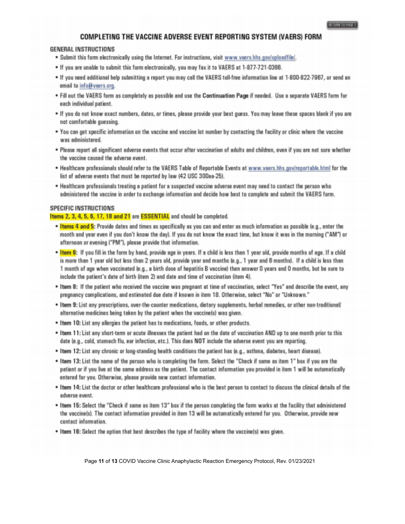### COMPLETING THE VACCINE ADVERSE EVENT REPORTING SYSTEM (VAERS) FORM

### **GENERAL INSTRUCTIONS**

- . Submit this form electronically using the Internet. For instructions, visit www.vaers.hhs.gov/uploadfile(.
- . If you are unable to submit this form electronically, you may fax it to VAERS at 1-877-721-0366.
- . If you need additional help submitting a report you may call the VAERS toll-free information line at 1-800-822-7967, or send an email to info@vaers.org.
- . Fill out the VAERS form as completely as possible and use the Continuation Page if needed. Use a separate VAERS form for each individual patient.
- . If you do not know exact numbers, dates, or times, please provide your best guess. You may leave these spaces blank if you are not comfortable quessing.
- . You can get specific information on the vaccine and vaccine lot number by contacting the facility or clinic where the vaccine was administered.
- \* Please report all significant adverse events that occur after vaccination of adults and children, even if you are not sure whether the vaccine caused the adverse event.
- . Healthcare professionals should refer to the VAERS Table of Reportable Events at www.vaers.hhs.gov/reportable.html for the list of adverse events that must be reported by law (42 USC 300aa-25).
- . Healthcare professionals treating a patient for a suspected vaccine adverse event may need to contact the person who administered the vaccine in order to exchange information and decide how best to complete and submit the VAERS form.

#### **SPECIFIC INSTRUCTIONS**

#### Items 2, 3, 4, 5, 6, 17, 18 and 21 are ESSENTIAL and should be completed.

- . Items 4 and 5: Provide dates and times as specifically as you can and enter as much information as possible (e.g., enter the month and year even if you don't know the day). If you do not know the exact time, but know it was in the morning ("AM") or afternoon or evening ("PM"), please provide that information.
- . Item 6: If you fill in the form by hand, provide age in years. If a child is less than 1 year old, provide months of age. If a child is more than 1 year old but less than 2 years old, provide year and months (e.g., 1 year and 6 months). If a child is less than 1 month of age when vaccinated (e.g., a birth dose of hepatitis B vaccine) then answer O years and O months, but be sure to include the patient's date of birth (item 2) and date and time of vaccination (item 4).
- . Item 8: If the patient who received the vaccine was pregnant at time of vaccination, select "Yes" and describe the event, any pregnancy complications, and estimated due date if known in item 18. Otherwise, select "No" or "Unknown."
- \* Item 9: List any prescriptions, over-the-counter medications, dietary supplements, herbal remedies, or other non-traditional/ alternative medicines being taken by the patient when the vaccine(s) was given.
- . Item 10: List any allergies the patient has to medications, foods, or other products.
- . Item 11: List any short-term or acute illnesses the patient had on the date of vaccination AND up to one month prior to this date (e.g., cold, stomach flu, ear infection, etc.). This does NOT include the adverse event you are reporting.
- . Item 12: List any chronic or long-standing health conditions the patient has (e.g., asthma, diabetes, heart disease).
- . Item 13: List the name of the person who is completing the form. Select the "Check if same as item 1" box if you are the patient or if you live at the same address as the patient. The contact information you provided in item 1 will be automatically entered for you. Otherwise, please provide new contact information.
- . Item 14: List the doctor or other healthcare professional who is the best person to contact to discuss the clinical details of the adverse event.
- . Item 15: Select the "Check if same as item 13" box if the person completing the form works at the facility that administered the vaccine(s). The contact information provided in item 13 will be automatically entered for you. Otherwise, provide new contact information.
- . Item 16: Select the option that best describes the type of facility where the vaccine(s) was given.

Page **11** of **13** COVID Vaccine Clinic Anaphylactic Reaction Emergency Protocol, Rev. 01/23/2021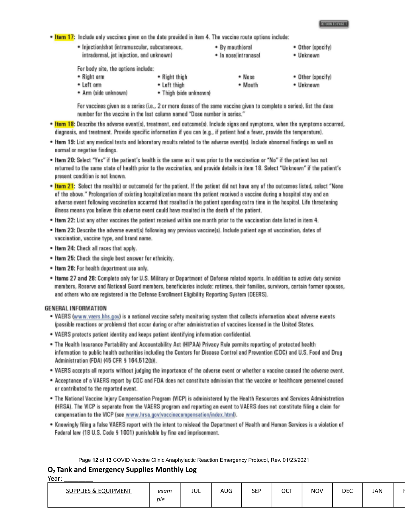#### **CONTORIE**

- . Item 17: Include only vaccines given on the date provided in item 4. The vaccine route options include:
	- · Injection/shot (intramuscular, subcutaneous, intradermal, jet injection, and unknown)
- . By mouth/oral · In nose/intranasal

· Nose

· Mouth

· Other (specify)

· Other (specify)

• Unknown

· Unknown

For body site, the options include:

- Right arm • Right thigh
- Left arm
	- Left thigh
- · Arm (side unknown) · Thigh (side unknown)

For vaccines given as a series (i.e., 2 or more doses of the same vaccine given to complete a series), list the dose number for the vaccine in the last column named "Dose number in series."

- . Item 18: Describe the adverse event(s), treatment, and outcome(s). Include signs and symptoms, when the symptoms occurred, diagnosis, and treatment. Provide specific information if you can (e.g., if patient had a fever, provide the temperature).
- . Item 19: List any medical tests and laboratory results related to the adverse event(s). Include abnormal findings as well as normal or negative findings.
- . Item 20: Select "Yes" if the patient's health is the same as it was prior to the vaccination or "No" if the patient has not returned to the same state of health prior to the vaccination, and provide details in item 18. Select "Unknown" if the patient's present condition is not known.
- . Item 21: Select the result(s) or outcome(s) for the patient. If the patient did not have any of the outcomes listed, select "None of the above." Prolongation of existing hospitalization means the patient received a vaccine during a hospital stay and an adverse event following vaccination occurred that resulted in the patient spending extra time in the hospital. Life threatening illness means you believe this adverse event could have resulted in the death of the patient.
- . Item 22: List any other vaccines the patient received within one month prior to the vaccination date listed in item 4.
- . Item 23: Describe the adverse event(s) following any previous vaccine(s). Include patient age at vaccination, dates of vaccination, vaccine type, and brand name.
- . Item 24: Check all races that apply.
- . Item 25: Check the single best answer for ethnicity.
- . Item 26: For health department use only.
- . Items 27 and 28: Complete only for U.S. Military or Department of Defense related reports. In addition to active duty service members, Reserve and National Guard members, beneficiaries include: retirees, their families, survivors, certain former spouses, and others who are registered in the Defense Enrollment Eligibility Reporting System (DEERS).

#### GENERAL INFORMATION

- . VAERS (www.vaers.hhs.gov) is a national vaccine safety monitoring system that collects information about adverse events (possible reactions or problems) that occur during or after administration of vaccines licensed in the United States.
- . VAERS protects patient identity and keeps patient identifying information confidential.
- . The Health Insurance Portability and Accountability Act (HIPAA) Privacy Rule permits reporting of protected health information to public health authorities including the Centers for Disease Control and Prevention (CDC) and U.S. Food and Drug Administration (FDA) (45 CFR § 164.512(b)).
- . VAERS accepts all reports without judging the importance of the adverse event or whether a vaccine caused the adverse event.
- . Acceptance of a VAERS report by CDC and FDA does not constitute admission that the vaccine or healthcare personnel caused or contributed to the reported event.
- . The National Vaccine Injury Compensation Program (VICP) is administered by the Health Resources and Services Administration (HRSA). The VICP is separate from the VAERS program and reporting an event to VAERS does not constitute filing a claim for compensation to the VICP (see www.hrsa.gov/vaccinecompensation/index.html).
- \* Knowingly filing a false VAERS report with the intent to mislead the Department of Health and Human Services is a violation of Federal law (18 U.S. Code § 1001) punishable by fine and imprisonment.

Page **12** of **13** COVID Vaccine Clinic Anaphylactic Reaction Emergency Protocol, Rev. 01/23/2021

## **O<sup>2</sup> Tank and Emergency Supplies Monthly Log**

Year:

| <b>SUPPLIES &amp; EQUIPMENT</b><br>exam<br>___<br>ple | .<br>JUL | AUG<br>___ | crn<br>. .<br>ا∟ت<br>$\sim$ | ост | <b>NOV</b><br>____ | DEC<br>___ | JAN |  |
|-------------------------------------------------------|----------|------------|-----------------------------|-----|--------------------|------------|-----|--|
|-------------------------------------------------------|----------|------------|-----------------------------|-----|--------------------|------------|-----|--|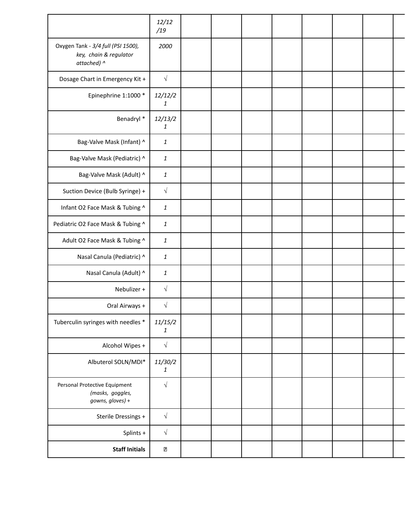|                                                                             | 12/12<br>/19            |  |  |  |  |
|-----------------------------------------------------------------------------|-------------------------|--|--|--|--|
| Oxygen Tank - 3/4 full (PSI 1500),<br>key, chain & regulator<br>attached) ^ | 2000                    |  |  |  |  |
| Dosage Chart in Emergency Kit +                                             | $\sqrt{ }$              |  |  |  |  |
| Epinephrine 1:1000 *                                                        | 12/12/2<br>1            |  |  |  |  |
| Benadryl <sup>*</sup>                                                       | 12/13/2<br>$\mathbf{1}$ |  |  |  |  |
| Bag-Valve Mask (Infant) ^                                                   | $\it 1$                 |  |  |  |  |
| Bag-Valve Mask (Pediatric) ^                                                | $\mathbf{1}$            |  |  |  |  |
| Bag-Valve Mask (Adult) ^                                                    | 1                       |  |  |  |  |
| Suction Device (Bulb Syringe) +                                             | $\sqrt{ }$              |  |  |  |  |
| Infant O2 Face Mask & Tubing ^                                              | $\it 1$                 |  |  |  |  |
| Pediatric O2 Face Mask & Tubing ^                                           | 1                       |  |  |  |  |
| Adult O2 Face Mask & Tubing ^                                               | 1                       |  |  |  |  |
| Nasal Canula (Pediatric) ^                                                  | $\it 1$                 |  |  |  |  |
| Nasal Canula (Adult) ^                                                      | $\it 1$                 |  |  |  |  |
| Nebulizer +                                                                 | $\sqrt{ }$              |  |  |  |  |
| Oral Airways +                                                              | $\sqrt{}$               |  |  |  |  |
| Tuberculin syringes with needles *                                          | 11/15/2<br>1            |  |  |  |  |
| Alcohol Wipes +                                                             | $\sqrt{ }$              |  |  |  |  |
| Albuterol SOLN/MDI*                                                         | 11/30/2<br>1            |  |  |  |  |
| Personal Protective Equipment<br>(masks, goggles,<br>gowns, gloves) +       | $\sqrt{}$               |  |  |  |  |
| Sterile Dressings +                                                         | $\sqrt{ }$              |  |  |  |  |
| Splints +                                                                   | $\sqrt{ }$              |  |  |  |  |
| <b>Staff Initials</b>                                                       | $\overline{2}$          |  |  |  |  |
|                                                                             |                         |  |  |  |  |